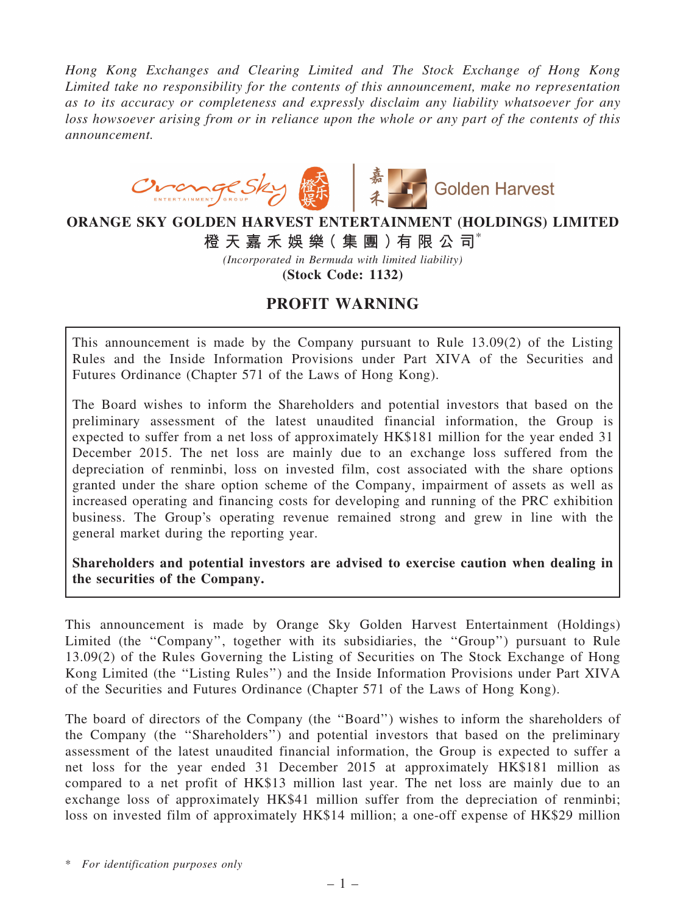*Hong Kong Exchanges and Clearing Limited and The Stock Exchange of Hong Kong Limited take no responsibility for the contents of this announcement, make no representation as to its accuracy or completeness and expressly disclaim any liability whatsoever for any loss howsoever arising from or in reliance upon the whole or any part of the contents of this announcement.*



## ORANGE SKY GOLDEN HARVEST ENTERTAINMENT (HOLDINGS) LIMITED 橙 天 嘉 禾 娛 樂( 集 團 )有 限 公 司\*

*(Incorporated in Bermuda with limited liability)*

(Stock Code: 1132)

## PROFIT WARNING

This announcement is made by the Company pursuant to Rule 13.09(2) of the Listing Rules and the Inside Information Provisions under Part XIVA of the Securities and Futures Ordinance (Chapter 571 of the Laws of Hong Kong).

The Board wishes to inform the Shareholders and potential investors that based on the preliminary assessment of the latest unaudited financial information, the Group is expected to suffer from a net loss of approximately HK\$181 million for the year ended 31 December 2015. The net loss are mainly due to an exchange loss suffered from the depreciation of renminbi, loss on invested film, cost associated with the share options granted under the share option scheme of the Company, impairment of assets as well as increased operating and financing costs for developing and running of the PRC exhibition business. The Group's operating revenue remained strong and grew in line with the general market during the reporting year.

Shareholders and potential investors are advised to exercise caution when dealing in the securities of the Company.

This announcement is made by Orange Sky Golden Harvest Entertainment (Holdings) Limited (the "Company", together with its subsidiaries, the "Group") pursuant to Rule 13.09(2) of the Rules Governing the Listing of Securities on The Stock Exchange of Hong Kong Limited (the ''Listing Rules'') and the Inside Information Provisions under Part XIVA of the Securities and Futures Ordinance (Chapter 571 of the Laws of Hong Kong).

The board of directors of the Company (the ''Board'') wishes to inform the shareholders of the Company (the ''Shareholders'') and potential investors that based on the preliminary assessment of the latest unaudited financial information, the Group is expected to suffer a net loss for the year ended 31 December 2015 at approximately HK\$181 million as compared to a net profit of HK\$13 million last year. The net loss are mainly due to an exchange loss of approximately HK\$41 million suffer from the depreciation of renminbi; loss on invested film of approximately HK\$14 million; a one-off expense of HK\$29 million

\* *For identification purposes only*